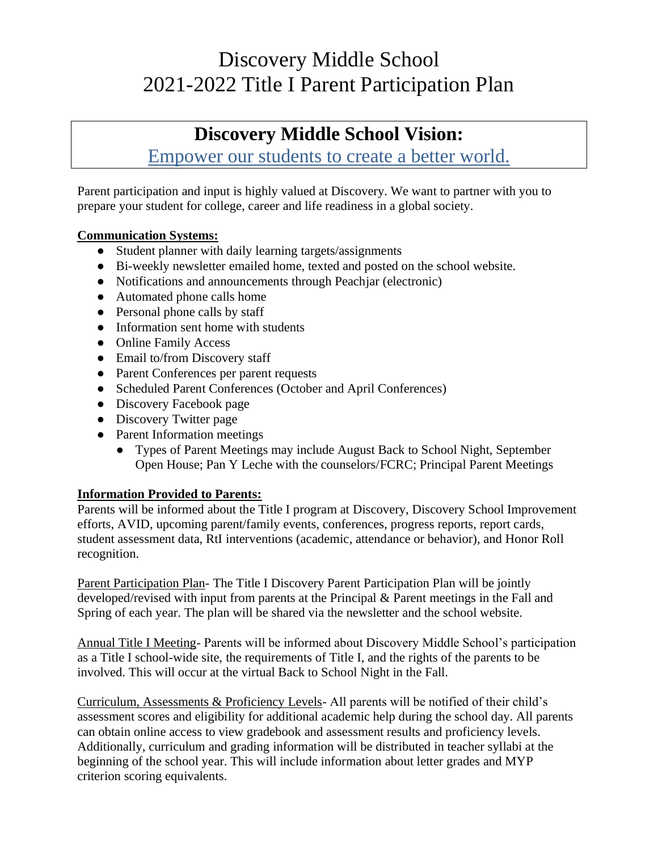## Discovery Middle School 2021-2022 Title I Parent Participation Plan

### **Discovery Middle School Vision:**

Empower our students to create a better world.

Parent participation and input is highly valued at Discovery. We want to partner with you to prepare your student for college, career and life readiness in a global society.

#### **Communication Systems:**

- Student planner with daily learning targets/assignments
- Bi-weekly newsletter emailed home, texted and posted on the school website.
- Notifications and announcements through Peachiar (electronic)
- Automated phone calls home
- Personal phone calls by staff
- Information sent home with students
- Online Family Access
- Email to/from Discovery staff
- Parent Conferences per parent requests
- Scheduled Parent Conferences (October and April Conferences)
- Discovery Facebook page
- Discovery Twitter page
- Parent Information meetings
	- Types of Parent Meetings may include August Back to School Night, September Open House; Pan Y Leche with the counselors/FCRC; Principal Parent Meetings

#### **Information Provided to Parents:**

Parents will be informed about the Title I program at Discovery, Discovery School Improvement efforts, AVID, upcoming parent/family events, conferences, progress reports, report cards, student assessment data, RtI interventions (academic, attendance or behavior), and Honor Roll recognition.

Parent Participation Plan- The Title I Discovery Parent Participation Plan will be jointly developed/revised with input from parents at the Principal & Parent meetings in the Fall and Spring of each year. The plan will be shared via the newsletter and the school website.

Annual Title I Meeting- Parents will be informed about Discovery Middle School's participation as a Title I school-wide site, the requirements of Title I, and the rights of the parents to be involved. This will occur at the virtual Back to School Night in the Fall.

Curriculum, Assessments & Proficiency Levels- All parents will be notified of their child's assessment scores and eligibility for additional academic help during the school day. All parents can obtain online access to view gradebook and assessment results and proficiency levels. Additionally, curriculum and grading information will be distributed in teacher syllabi at the beginning of the school year. This will include information about letter grades and MYP criterion scoring equivalents.